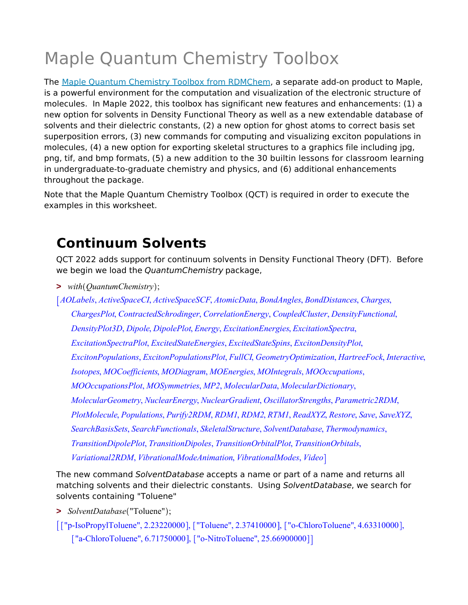# Maple Quantum Chemistry Toolbox

The Maple Quantum Chemistry Toolbox from RDMChem, a separate add-on product to Maple, is a powerful environment for the computation and visualization of the electronic structure of molecules. In Maple 2022, this toolbox has significant new features and enhancements: (1) a new option for solvents in Density Functional Theory as well as a new extendable database of solvents and their dielectric constants, (2) a new option for ghost atoms to correct basis set superposition errors, (3) new commands for computing and visualizing exciton populations in molecules, (4) a new option for exporting skeletal structures to a graphics file including jpg, png, tif, and bmp formats, (5) a new addition to the 30 builtin lessons for classroom learning in undergraduate-to-graduate chemistry and physics, and (6) additional enhancements throughout the package.

Note that the Maple Quantum Chemistry Toolbox (QCT) is required in order to execute the examples in this worksheet.

## **Continuum Solvents**

QCT 2022 adds support for continuum solvents in Density Functional Theory (DFT). Before we begin we load the *QuantumChemistry* package,

**>** *with QuantumChemistry* ;

*AOLabels*, *ActiveSpaceCI*, *ActiveSpaceSCF*, *AtomicData*, *BondAngles*, *BondDistances*, *Charges*, *ChargesPlot*, *ContractedSchrodinger*, *CorrelationEnergy*, *CoupledCluster*, *DensityFunctional*, *DensityPlot3D*, *Dipole*, *DipolePlot*, *Energy*, *ExcitationEnergies*, *ExcitationSpectra*, *ExcitationSpectraPlot*, *ExcitedStateEnergies*, *ExcitedStateSpins*, *ExcitonDensityPlot*, *ExcitonPopulations*, *ExcitonPopulationsPlot*, *FullCI*, *GeometryOptimization*, *HartreeFock*, *Interactive*, *Isotopes*, *MOCoefficients*, *MODiagram*, *MOEnergies*, *MOIntegrals*, *MOOccupations*, *MOOccupationsPlot*, *MOSymmetries*, *MP2*, *MolecularData*, *MolecularDictionary*, *MolecularGeometry*, *NuclearEnergy*, *NuclearGradient*, *OscillatorStrengths*, *Parametric2RDM*, *PlotMolecule*, *Populations*, *Purify2RDM*, *RDM1*, *RDM2*, *RTM1*, *ReadXYZ*, *Restore*, *Save*, *SaveXYZ*, *SearchBasisSets*, *SearchFunctionals*, *SkeletalStructure*, *SolventDatabase*, *Thermodynamics*, *TransitionDipolePlot*, *TransitionDipoles*, *TransitionOrbitalPlot*, *TransitionOrbitals*, *Variational2RDM*, *VibrationalModeAnimation*, *VibrationalModes*, *Video*

The new command *SolventDatabase* accepts a name or part of a name and returns all matching solvents and their dielectric constants. Using *SolventDatabase*, we search for solvents containing "Toluene"

- **>** *SolventDatabase* "Toluene" ;
- [["p-IsoPropylToluene", 2.23220000], ["Toluene", 2.37410000], ["o-ChloroToluene", 4.63310000], ["a-ChloroToluene", 6.71750000], ["o-NitroToluene", 25.66900000]]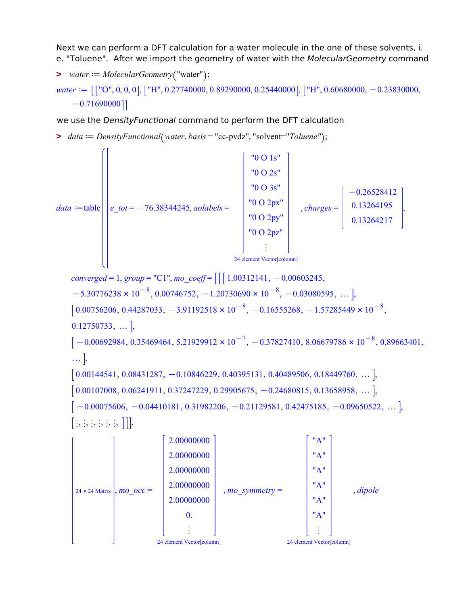Next we can perform a DFT calculation for a water molecule in the one of these solvents, i. e. "Toluene". After we import the geometry of water with the *MolecularGeometry* command

 $\triangleright$  *water*  $:=$  *MolecularGeometry* ("water");

*water*  $:=$   $\left[$  ["O", 0, 0, 0],  $\left[$  "H", 0.27740000, 0.89290000, 0.25440000],  $\left[$  "H", 0.60680000, -0.23830000,  $-0.71690000$ ]

we use the *DensityFunctional* command to perform the DFT calculation

>  $data := DensityFunctional(water, basis = "cc-pvdz", "solvent="Toluene";$ 



*converged* = 1, *group* = "C1",  $mo\_coeff$  =  $[[ [ 1.00312141, -0.00603245,$  $-5.30776238 \times 10^{-8}$ , 0.00746752,  $-1.20730690 \times 10^{-8}$ ,  $-0.03080595$ , ... ],  $0.00756206, 0.44287033, -3.91192518 \times 10^{-8}, -0.16555268, -1.57285449 \times 10^{-8},$  $0.12750733, \ldots$ ,  $-0.00692984, 0.35469464, 5.21929912 \times 10^{-7}, -0.37827410, 8.06679786 \times 10^{-8}, 0.89663401,$ … <u>|</u>,  $\left[0.00144541, 0.08431287, -0.10846229, 0.40395131, 0.40489506, 0.18449760, \ldots \right]$  $\left[0.00107008, 0.06241911, 0.37247229, 0.29905675, -0.24680815, 0.13658958, \ldots\right]$  $[-0.00075606, -0.04410181, 0.31982206, -0.21129581, 0.42475185, -0.09650522, ...],$  $[$ ;;;,;,;,;,;,]]],

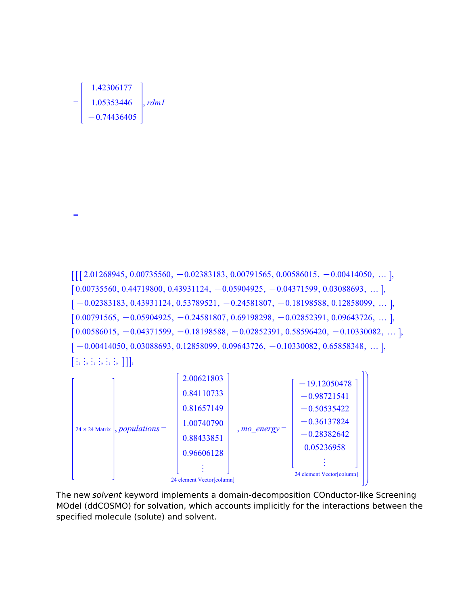

=





The new *solvent* keyword implements a domain-decomposition COnductor-like Screening MOdel (ddCOSMO) for solvation, which accounts implicitly for the interactions between the specified molecule (solute) and solvent.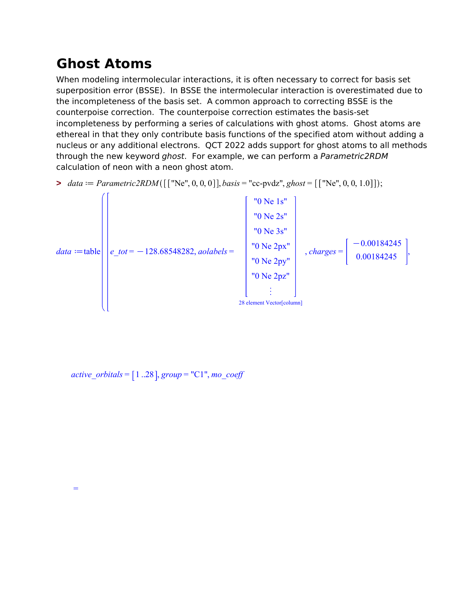## **Ghost Atoms**

When modeling intermolecular interactions, it is often necessary to correct for basis set superposition error (BSSE). In BSSE the intermolecular interaction is overestimated due to the incompleteness of the basis set. A common approach to correcting BSSE is the counterpoise correction. The counterpoise correction estimates the basis-set incompleteness by performing a series of calculations with ghost atoms. Ghost atoms are ethereal in that they only contribute basis functions of the specified atom without adding a nucleus or any additional electrons. QCT 2022 adds support for ghost atoms to all methods through the new keyword *ghost*. For example, we can perform a *Parametric2RDM* calculation of neon with a neon ghost atom.





*active\_orbitals* =  $\lceil 1 \cdot .28 \rceil$ *, group* = "C1"*, mo\_coeff*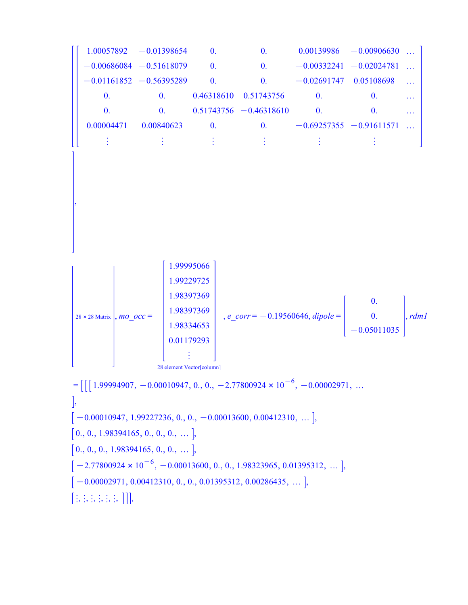$1.00057892 -0.01398654$  0. 0.00139986  $-0.00906630$  ...  $-0.00686084 -0.51618079$  0.  $-0.00332241 -0.02024781$  ...  $-0.01161852 -0.56395289$  0. 0.  $-0.02691747$  0.05108698 ... 0. 0. 0.46318610 0.51743756 0. 0. … 0. 0. 0.51743756  $-0.46318610$  0. 0. …  $0.00004471$   $0.00840623$  0. 0.  $-0.69257355$   $-0.91611571$  ... « « « « « « ,  $28 \times 28$  Matrix , *mo\_occ* = 1.99995066 1.99229725 1.98397369 1.98397369 1.98334653 0.01179293 « 28 element Vector[column] , *e\_corr* = K0.19560646, *dipole* = 0. 0. 0.05011035 , *rdm1*  $= \left[ \left[ \left[ 1.99994907, -0.00010947, 0., 0., -2.77800924 \times 10^{-6}, -0.00002971, \ldots \right] \right]$ ,  $[-0.00010947, 1.99227236, 0., 0., -0.00013600, 0.00412310, ...],$  $[0., 0., 1.98394165, 0., 0., 0., \dots]$  $[0., 0., 0., 1.98394165, 0., 0., \dots]$  $-2.77800924 \times 10^{-6}$ ,  $-0.00013600$ , 0., 0., 1.98323965, 0.01395312, ... ],

 $[-0.00002971, 0.00412310, 0., 0., 0.01395312, 0.00286435, ...],$ 

 $[;;;;;;;;;]]$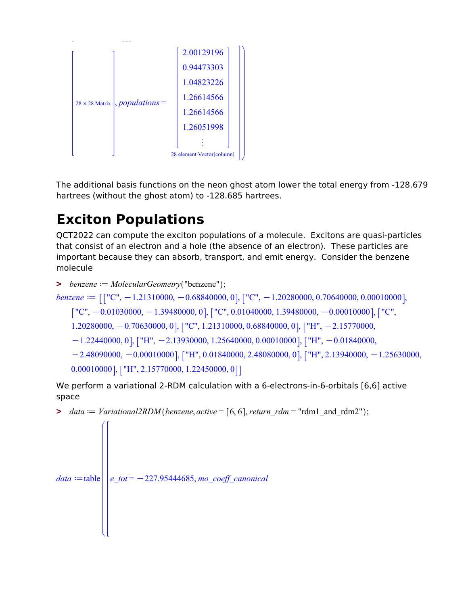

The additional basis functions on the neon ghost atom lower the total energy from -128.679 hartrees (without the ghost atom) to -128.685 hartrees.

# **Exciton Populations**

QCT2022 can compute the exciton populations of a molecule. Excitons are quasi-particles that consist of an electron and a hole (the absence of an electron). These particles are important because they can absorb, transport, and emit energy. Consider the benzene molecule

```
\triangleright benzene := MolecularGeometry ("benzene");
```

```
benzene := \left[ \left[ "C", -1.21310000, -0.68840000, 0 \right], \left[ "C", -1.20280000, 0.70640000, 0.00010000 \right],
```

```
[T'C", -0.01030000, -1.39480000, 0], [T'C", 0.01040000, 1.39480000, -0.00010000], [T'C",
```

```
1.20280000, -0.70630000, 0], ["C", 1.21310000, 0.68840000, 0], ["H", -2.15770000,
```

```
K1.22440000, 0 , ["H", -2.13930000, 1.25640000, 0.00010000 , ["H", -0.01840000,
```

```
K2.48090000, -0.00010000], ["H", 0.01840000, 2.48080000, 0], ["H", 2.13940000, -1.25630000,
0.00010000, ["H", 2.15770000, 1.22450000, 0]]
```
We perform a variational 2-RDM calculation with a 6-electrons-in-6-orbitals [6,6] active space

```
> data := Variational2RDM(benzene, active = [6, 6], return rdm = "rdm1 and rdm2" ;
```

```
data := table \mid e\_tot = -227.95444685, mo\_coeff\_canonical
```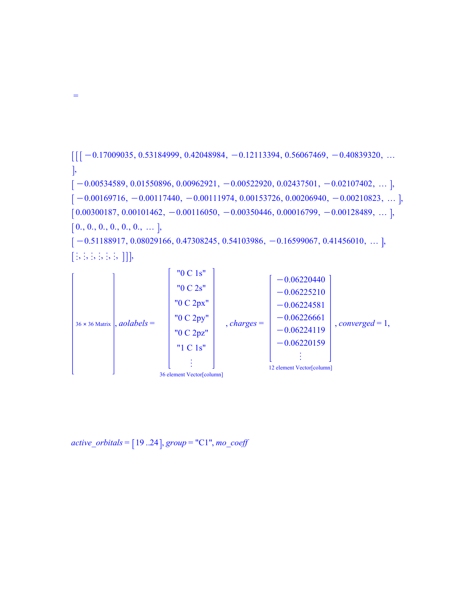

 $[;;;;;;;;;]]$ 

=

 $36 \times 36$  Matrix , *aolabels* = "0 C 1s" "0 C 2s" "0 C 2px" "0 C 2py" "0 C 2pz" "1 C 1s" « 36 element Vector[column] , *charges* =  $-0.06220440$  $-0.06225210$  $-0.06224581$  $-0.06226661$  $-0.06224119$  $-0.06220159$ « 12 element Vector[column] , *converged* = 1,

 $active\_orbitals = [19..24], group = "C1", mo\_coeff$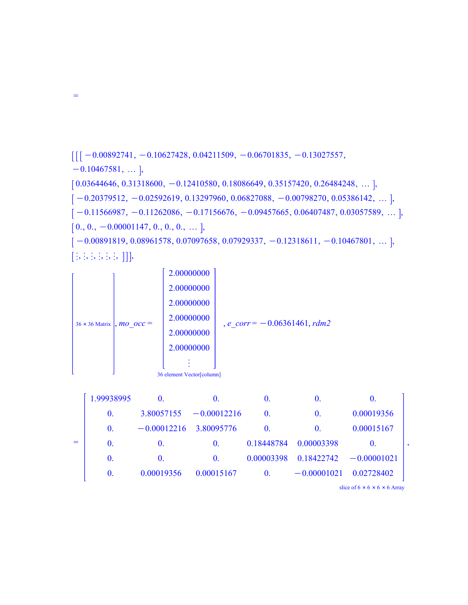$\left[ \left[ \left[ \, -0.00892741, \, -0.10627428, \, 0.04211509, \, -0.06701835, \, -0.13027557, \, \right. \right]$  $-0.10467581, ...$ ],  $\left[0.03644646, 0.31318600, -0.12410580, 0.18086649, 0.35157420, 0.26484248, \ldots\right],$  $[-0.20379512, -0.02592619, 0.13297960, 0.06827088, -0.00798270, 0.05386142, ...],$  $[-0.11566987, -0.11262086, -0.17156676, -0.09457665, 0.06407487, 0.03057589, \dots],$  $[0., 0., -0.00001147, 0., 0., 0., ...],$  $[-0.00891819, 0.08961578, 0.07097658, 0.07929337, -0.12318611, -0.10467801, ...],$ 

 $[;;;;;;;;;]]$ 

=

 $36 \times 36$  Matrix , *mo\_occ* = 2.00000000 2.00000000 2.00000000 2.00000000 2.00000000 2.00000000 « 36 element Vector[column] , *e\_corr* = K0.06361461, *rdm2*

|     | 1.99938995     | $\mathbf{0}$             | $\bf{0}$ .                | $\bf{0}$       | $\bf{0}$                  | O.         |  |
|-----|----------------|--------------------------|---------------------------|----------------|---------------------------|------------|--|
|     | $\mathbf{0}$ . |                          | $3.80057155 - 0.00012216$ | $\Omega$ .     | $\theta$ .                | 0.00019356 |  |
|     | $\mathbf{0}$ . | $-0.00012216$ 3.80095776 |                           | $\bf{0}$       | $\Omega$                  | 0.00015167 |  |
| $=$ | $\mathbf{0}$ . | $\bf{0}$                 | $\theta$ .                | 0.18448784     | 0.00003398                | O.         |  |
|     | $\mathbf{0}$ . | $\Omega$                 | $\Omega$ .                | 0.00003398     | $0.18422742 - 0.00001021$ |            |  |
|     | $\theta$ .     | 0.00019356               | 0.00015167                | $\mathbf{0}$ . | $-0.00001021$             | 0.02728402 |  |

slice of  $6 \times 6 \times 6 \times 6$  Array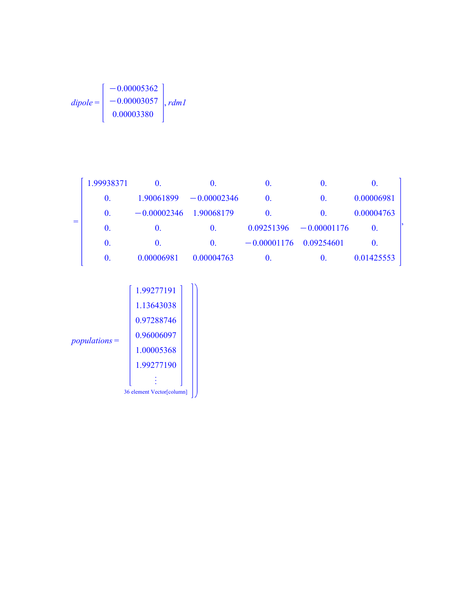$$
dipole = \begin{bmatrix} -0.00005362 \\ -0.00003057 \\ 0.00003380 \end{bmatrix}, rdm1
$$

|     | 1.99938371     | $\bf{0}$      | $\bf{0}$      | O.                       | $\bf{0}$      | O.           |  |
|-----|----------------|---------------|---------------|--------------------------|---------------|--------------|--|
|     | $\mathbf{0}$ . | 1.90061899    | $-0.00002346$ | $\theta$ .               | $\mathbf{0}$  | 0.00006981   |  |
|     | $\bf{0}$ .     | $-0.00002346$ | 1.90068179    | $\theta$ .               | $\Omega$ .    | 0.00004763   |  |
| $=$ | $\bf{0}$ .     | $\bf{0}$ .    | $\bf{0}$ .    | 0.09251396               | $-0.00001176$ | $\theta$ .   |  |
|     | $\bf{0}$ .     | $\bf{0}$ .    | $\bf{0}$ .    | $-0.00001176$ 0.09254601 |               | $\mathbf{0}$ |  |
|     | $\bf{0}$ .     | 0.00006981    | 0.00004763    | $\bf{0}$                 | $\bf{0}$ .    | 0.01425553   |  |

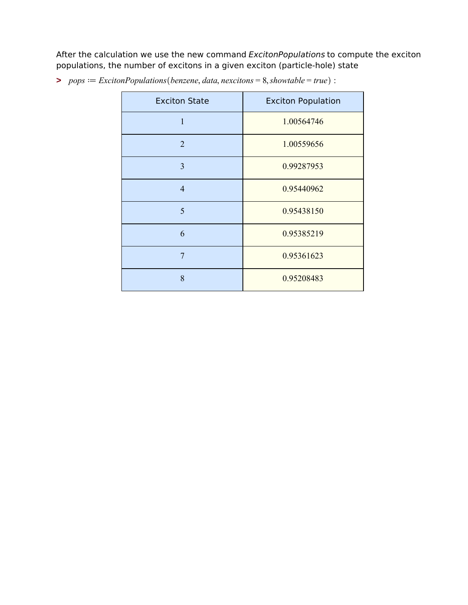After the calculation we use the new command *ExcitonPopulations* to compute the exciton populations, the number of excitons in a given exciton (particle-hole) state

| <b>Exciton State</b> | <b>Exciton Population</b> |
|----------------------|---------------------------|
| $\mathbf{1}$         | 1.00564746                |
| $\overline{2}$       | 1.00559656                |
| 3                    | 0.99287953                |
| $\overline{4}$       | 0.95440962                |
| 5                    | 0.95438150                |
| 6                    | 0.95385219                |
| 7                    | 0.95361623                |
| 8                    | 0.95208483                |

 $\Rightarrow$   $pops := ExcitonPopulations(benzene, data, nexto) = 8, showtable = true$ :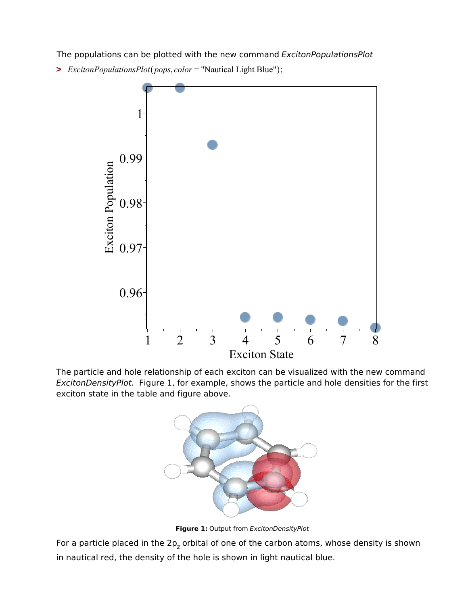The populations can be plotted with the new command *ExcitonPopulationsPlot*

**>** *ExcitonPopulationsPlot pops*, *color* = "Nautical Light Blue" ;



The particle and hole relationship of each exciton can be visualized with the new command *ExcitonDensityPlot*. Figure 1, for example, shows the particle and hole densities for the first exciton state in the table and figure above.



**Figure 1:** Output from *ExcitonDensityPlot*

For a particle placed in the 2p<sub>z</sub> orbital of one of the carbon atoms, whose density is shown in nautical red, the density of the hole is shown in light nautical blue.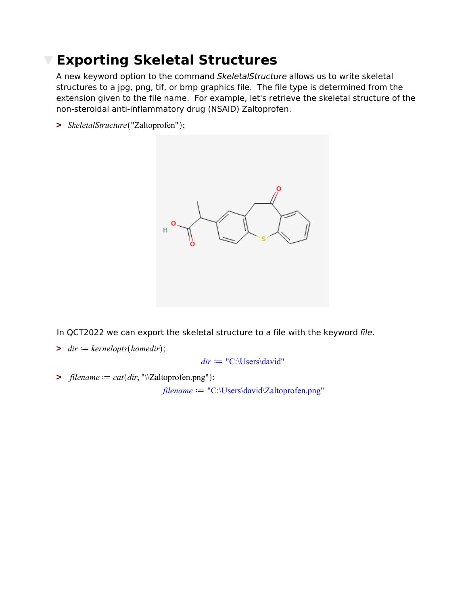### **Exporting Skeletal Structures**

A new keyword option to the command *SkeletalStructure* allows us to write skeletal structures to a jpg, png, tif, or bmp graphics file. The file type is determined from the extension given to the file name. For example, let's retrieve the skeletal structure of the non-steroidal anti-inflammatory drug (NSAID) Zaltoprofen.

**>** *SkeletalStructure* "Zaltoprofen" ;



In QCT2022 we can export the skeletal structure to a file with the keyword *file*.

 $\triangleright$  *dir*  $:=$  *kernelopts* (*homedir*);

 $dir := "C:\Upsilon\backslash \text{Users}\backslash \text{david}"$ 

 $\Rightarrow$  *filename*  $:= cat(dr, \text{``\&\&\&\,} prop)$ ;

 $filename := "C:\Users\davi d\Zaltoprofen.png"$